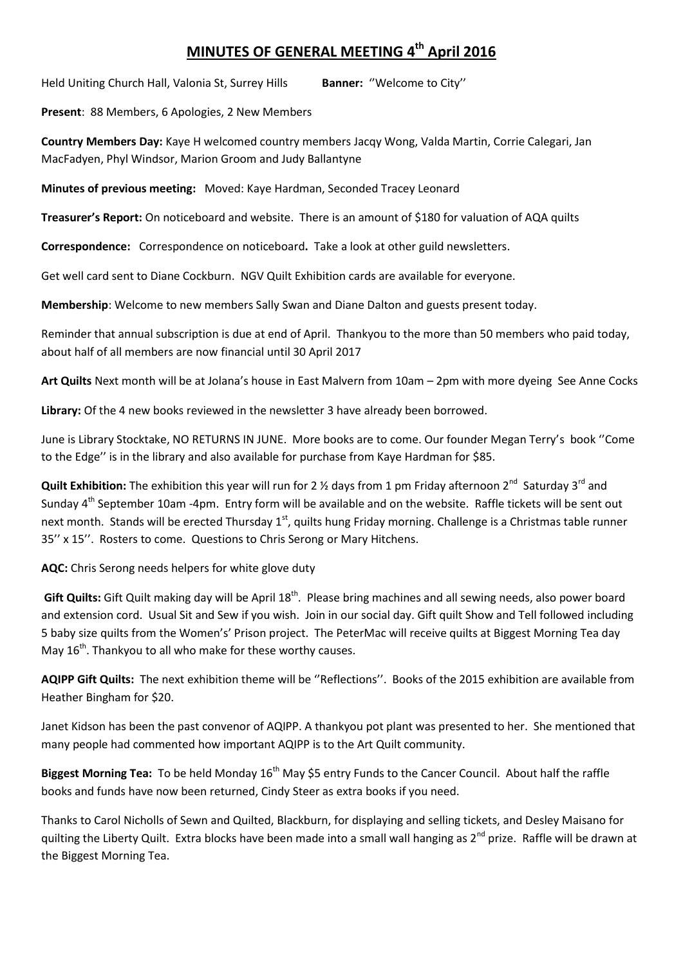## **MINUTES OF GENERAL MEETING 4 th April 2016**

Held Uniting Church Hall, Valonia St, Surrey Hills **Banner:** ''Welcome to City''

**Present**: 88 Members, 6 Apologies, 2 New Members

**Country Members Day:** Kaye H welcomed country members Jacqy Wong, Valda Martin, Corrie Calegari, Jan MacFadyen, Phyl Windsor, Marion Groom and Judy Ballantyne

**Minutes of previous meeting:** Moved: Kaye Hardman, Seconded Tracey Leonard

**Treasurer's Report:** On noticeboard and website. There is an amount of \$180 for valuation of AQA quilts

**Correspondence:** Correspondence on noticeboard**.** Take a look at other guild newsletters.

Get well card sent to Diane Cockburn. NGV Quilt Exhibition cards are available for everyone.

**Membership**: Welcome to new members Sally Swan and Diane Dalton and guests present today.

Reminder that annual subscription is due at end of April. Thankyou to the more than 50 members who paid today, about half of all members are now financial until 30 April 2017

**Art Quilts** Next month will be at Jolana's house in East Malvern from 10am – 2pm with more dyeing See Anne Cocks

**Library:** Of the 4 new books reviewed in the newsletter 3 have already been borrowed.

June is Library Stocktake, NO RETURNS IN JUNE. More books are to come. Our founder Megan Terry's book ''Come to the Edge'' is in the library and also available for purchase from Kaye Hardman for \$85.

Quilt Exhibition: The exhibition this year will run for 2 <sup>1/2</sup> days from 1 pm Friday afternoon 2<sup>nd</sup> Saturday 3<sup>rd</sup> and Sunday 4th September 10am -4pm.Entry form will be available and on the website. Raffle tickets will be sent out next month. Stands will be erected Thursday 1<sup>st</sup>, quilts hung Friday morning. Challenge is a Christmas table runner 35'' x 15''. Rosters to come. Questions to Chris Serong or Mary Hitchens.

**AQC:** Chris Serong needs helpers for white glove duty

**Gift Quilts:** Gift Quilt making day will be April 18<sup>th</sup>. Please bring machines and all sewing needs, also power board and extension cord. Usual Sit and Sew if you wish. Join in our social day. Gift quilt Show and Tell followed including 5 baby size quilts from the Women's' Prison project. The PeterMac will receive quilts at Biggest Morning Tea day May  $16<sup>th</sup>$ . Thankyou to all who make for these worthy causes.

**AQIPP Gift Quilts:** The next exhibition theme will be ''Reflections''. Books of the 2015 exhibition are available from Heather Bingham for \$20.

Janet Kidson has been the past convenor of AQIPP. A thankyou pot plant was presented to her. She mentioned that many people had commented how important AQIPP is to the Art Quilt community.

**Biggest Morning Tea:** To be held Monday 16th May \$5 entry Funds to the Cancer Council. About half the raffle books and funds have now been returned, Cindy Steer as extra books if you need.

Thanks to Carol Nicholls of Sewn and Quilted, Blackburn, for displaying and selling tickets, and Desley Maisano for quilting the Liberty Quilt. Extra blocks have been made into a small wall hanging as 2<sup>nd</sup> prize. Raffle will be drawn at the Biggest Morning Tea.